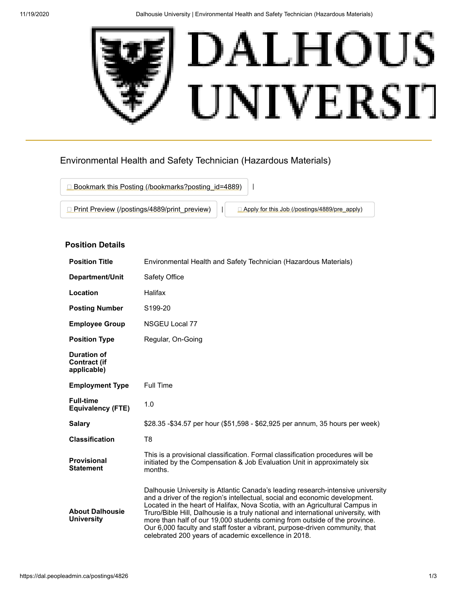

# Environmental Health and Safety Technician (Hazardous Materials)



# **Position Details**

| <b>Position Title</b>                                    | Environmental Health and Safety Technician (Hazardous Materials)                                                                                                                                                                                                                                                                                                                                                                                                                                                                                           |
|----------------------------------------------------------|------------------------------------------------------------------------------------------------------------------------------------------------------------------------------------------------------------------------------------------------------------------------------------------------------------------------------------------------------------------------------------------------------------------------------------------------------------------------------------------------------------------------------------------------------------|
| Department/Unit                                          | Safety Office                                                                                                                                                                                                                                                                                                                                                                                                                                                                                                                                              |
| Location                                                 | Halifax                                                                                                                                                                                                                                                                                                                                                                                                                                                                                                                                                    |
| <b>Posting Number</b>                                    | S <sub>199</sub> -20                                                                                                                                                                                                                                                                                                                                                                                                                                                                                                                                       |
| <b>Employee Group</b>                                    | NSGEU Local 77                                                                                                                                                                                                                                                                                                                                                                                                                                                                                                                                             |
| <b>Position Type</b>                                     | Regular, On-Going                                                                                                                                                                                                                                                                                                                                                                                                                                                                                                                                          |
| <b>Duration of</b><br><b>Contract (if</b><br>applicable) |                                                                                                                                                                                                                                                                                                                                                                                                                                                                                                                                                            |
| <b>Employment Type</b>                                   | <b>Full Time</b>                                                                                                                                                                                                                                                                                                                                                                                                                                                                                                                                           |
| <b>Full-time</b><br><b>Equivalency (FTE)</b>             | 1.0                                                                                                                                                                                                                                                                                                                                                                                                                                                                                                                                                        |
| <b>Salary</b>                                            | \$28.35 -\$34.57 per hour (\$51,598 - \$62,925 per annum, 35 hours per week)                                                                                                                                                                                                                                                                                                                                                                                                                                                                               |
| <b>Classification</b>                                    | T8                                                                                                                                                                                                                                                                                                                                                                                                                                                                                                                                                         |
| <b>Provisional</b><br><b>Statement</b>                   | This is a provisional classification. Formal classification procedures will be<br>initiated by the Compensation & Job Evaluation Unit in approximately six<br>months.                                                                                                                                                                                                                                                                                                                                                                                      |
| <b>About Dalhousie</b><br><b>University</b>              | Dalhousie University is Atlantic Canada's leading research-intensive university<br>and a driver of the region's intellectual, social and economic development.<br>Located in the heart of Halifax, Nova Scotia, with an Agricultural Campus in<br>Truro/Bible Hill, Dalhousie is a truly national and international university, with<br>more than half of our 19,000 students coming from outside of the province.<br>Our 6,000 faculty and staff foster a vibrant, purpose-driven community, that<br>celebrated 200 years of academic excellence in 2018. |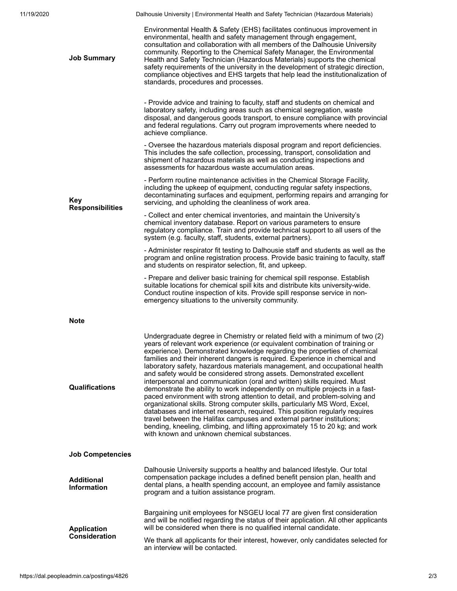11/19/2020 Dalhousie University | Environmental Health and Safety Technician (Hazardous Materials)

| <b>Job Summary</b>                         | Environmental Health & Safety (EHS) facilitates continuous improvement in<br>environmental, health and safety management through engagement,<br>consultation and collaboration with all members of the Dalhousie University<br>community. Reporting to the Chemical Safety Manager, the Environmental<br>Health and Safety Technician (Hazardous Materials) supports the chemical<br>safety requirements of the university in the development of strategic direction,<br>compliance objectives and EHS targets that help lead the institutionalization of<br>standards, procedures and processes.                                                                                                                                                                                                                                                                                                                                                                                                                                                                                              |
|--------------------------------------------|------------------------------------------------------------------------------------------------------------------------------------------------------------------------------------------------------------------------------------------------------------------------------------------------------------------------------------------------------------------------------------------------------------------------------------------------------------------------------------------------------------------------------------------------------------------------------------------------------------------------------------------------------------------------------------------------------------------------------------------------------------------------------------------------------------------------------------------------------------------------------------------------------------------------------------------------------------------------------------------------------------------------------------------------------------------------------------------------|
| Key<br><b>Responsibilities</b>             | - Provide advice and training to faculty, staff and students on chemical and<br>laboratory safety, including areas such as chemical segregation, waste<br>disposal, and dangerous goods transport, to ensure compliance with provincial<br>and federal regulations. Carry out program improvements where needed to<br>achieve compliance.                                                                                                                                                                                                                                                                                                                                                                                                                                                                                                                                                                                                                                                                                                                                                      |
|                                            | - Oversee the hazardous materials disposal program and report deficiencies.<br>This includes the safe collection, processing, transport, consolidation and<br>shipment of hazardous materials as well as conducting inspections and<br>assessments for hazardous waste accumulation areas.                                                                                                                                                                                                                                                                                                                                                                                                                                                                                                                                                                                                                                                                                                                                                                                                     |
|                                            | - Perform routine maintenance activities in the Chemical Storage Facility,<br>including the upkeep of equipment, conducting regular safety inspections,<br>decontaminating surfaces and equipment, performing repairs and arranging for<br>servicing, and upholding the cleanliness of work area.                                                                                                                                                                                                                                                                                                                                                                                                                                                                                                                                                                                                                                                                                                                                                                                              |
|                                            | - Collect and enter chemical inventories, and maintain the University's<br>chemical inventory database. Report on various parameters to ensure<br>regulatory compliance. Train and provide technical support to all users of the<br>system (e.g. faculty, staff, students, external partners).                                                                                                                                                                                                                                                                                                                                                                                                                                                                                                                                                                                                                                                                                                                                                                                                 |
|                                            | - Administer respirator fit testing to Dalhousie staff and students as well as the<br>program and online registration process. Provide basic training to faculty, staff<br>and students on respirator selection, fit, and upkeep.                                                                                                                                                                                                                                                                                                                                                                                                                                                                                                                                                                                                                                                                                                                                                                                                                                                              |
|                                            | - Prepare and deliver basic training for chemical spill response. Establish<br>suitable locations for chemical spill kits and distribute kits university-wide.<br>Conduct routine inspection of kits. Provide spill response service in non-<br>emergency situations to the university community.                                                                                                                                                                                                                                                                                                                                                                                                                                                                                                                                                                                                                                                                                                                                                                                              |
| Note                                       |                                                                                                                                                                                                                                                                                                                                                                                                                                                                                                                                                                                                                                                                                                                                                                                                                                                                                                                                                                                                                                                                                                |
| <b>Qualifications</b>                      | Undergraduate degree in Chemistry or related field with a minimum of two (2)<br>years of relevant work experience (or equivalent combination of training or<br>experience). Demonstrated knowledge regarding the properties of chemical<br>families and their inherent dangers is required. Experience in chemical and<br>laboratory safety, hazardous materials management, and occupational health<br>and safety would be considered strong assets. Demonstrated excellent<br>interpersonal and communication (oral and written) skills required. Must<br>demonstrate the ability to work independently on multiple projects in a fast-<br>paced environment with strong attention to detail, and problem-solving and<br>organizational skills. Strong computer skills, particularly MS Word, Excel,<br>databases and internet research, required. This position regularly requires<br>travel between the Halifax campuses and external partner institutions;<br>bending, kneeling, climbing, and lifting approximately 15 to 20 kg; and work<br>with known and unknown chemical substances. |
| <b>Job Competencies</b>                    |                                                                                                                                                                                                                                                                                                                                                                                                                                                                                                                                                                                                                                                                                                                                                                                                                                                                                                                                                                                                                                                                                                |
| <b>Additional</b><br><b>Information</b>    | Dalhousie University supports a healthy and balanced lifestyle. Our total<br>compensation package includes a defined benefit pension plan, health and<br>dental plans, a health spending account, an employee and family assistance<br>program and a tuition assistance program.                                                                                                                                                                                                                                                                                                                                                                                                                                                                                                                                                                                                                                                                                                                                                                                                               |
| <b>Application</b><br><b>Consideration</b> | Bargaining unit employees for NSGEU local 77 are given first consideration<br>and will be notified regarding the status of their application. All other applicants<br>will be considered when there is no qualified internal candidate.                                                                                                                                                                                                                                                                                                                                                                                                                                                                                                                                                                                                                                                                                                                                                                                                                                                        |
|                                            | We thank all applicants for their interest, however, only candidates selected for<br>an interview will be contacted.                                                                                                                                                                                                                                                                                                                                                                                                                                                                                                                                                                                                                                                                                                                                                                                                                                                                                                                                                                           |